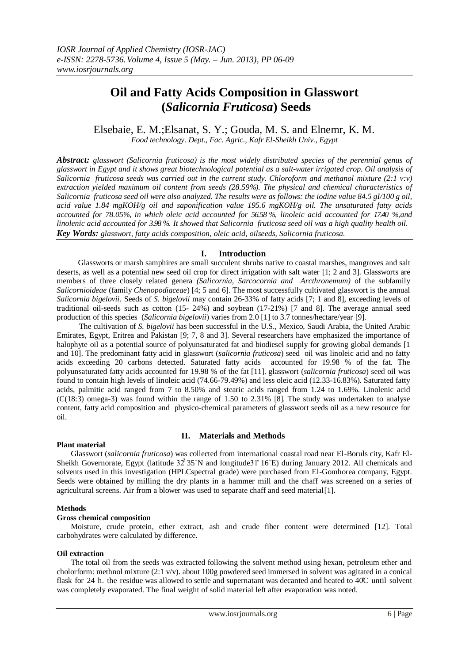# **Oil and Fatty Acids Composition in Glasswort (***Salicornia Fruticosa***) Seeds**

Elsebaie, E. M.;Elsanat, S. Y.; Gouda, M. S. and Elnemr, K. M.

*Food technology. Dept., Fac. Agric., Kafr El-Sheikh Univ., Egypt*

*Abstract: glasswort (Salicornia fruticosa) is the most widely distributed species of the perennial genus of glasswort in Egypt and it shows great biotechnological potential as a salt-water irrigated crop. Oil analysis of Salicornia fruticosa seeds was carried out in the current study. Chloroform and methanol mixture (2:1 v:v) extraction yielded maximum oil content from seeds (28.59%). The physical and chemical characteristics of Salicornia fruticosa seed oil were also analyzed. The results were as follows: the iodine value 84.5 gI/100 g oil, acid value 1.84 mgKOH/g oil and saponification value 195.6 mgKOH/g oil. The unsaturated fatty acids accounted for 78.05%, in which oleic acid accounted for 56.58 %, linoleic acid accounted for 17.40 %,and linolenic acid accounted for 3.98 %. It showed that Salicornia fruticosa seed oil was a high quality health oil. Key Words: glasswort, fatty acids composition, oleic acid, oilseeds, Salicornia fruticosa.*

## **I. Introduction**

Glassworts or marsh samphires are small succulent shrubs native to coastal marshes, mangroves and salt deserts, as well as a potential new seed oil crop for direct irrigation with salt water [1; 2 and 3]. Glassworts are members of three closely related genera *(Salicornia, Sarcocornia and Arcthronemum)* of the subfamily *Salicornioideae* (family *Chenopodiaceae*) [4; 5 and 6]. The most successfully cultivated glasswort is the annual *Salicornia bigelovii*. Seeds of *S*. *bigelovii* may contain 26-33% of fatty acids [7; 1 and 8], exceeding levels of traditional oil-seeds such as cotton (15- 24%) and soybean (17-21%) [7 and 8]. The average annual seed production of this species (*Salicornia bigelovii*) varies from 2.0 [1] to 3.7 tonnes/hectare/year [9].

The cultivation of *S. bigelovii* has been successful in the U.S., Mexico, Saudi Arabia, the United Arabic Emirates, Egypt, Eritrea and Pakistan [9; 7, 8 and 3]. Several researchers have emphasized the importance of halophyte oil as a potential source of polyunsaturated fat and biodiesel supply for growing global demands [1 and 10]. The predominant fatty acid in glasswort (*salicornia fruticosa*) seed oil was linoleic acid and no fatty acids exceeding 20 carbons detected. Saturated fatty acids accounted for 19.98 % of the fat. The polyunsaturated fatty acids accounted for 19.98 % of the fat [11]. glasswort (*salicornia fruticosa*) seed oil was found to contain high levels of linoleic acid (74.66-79.49%) and less oleic acid (12.33-16.83%). Saturated fatty acids, palmitic acid ranged from 7 to 8.50% and stearic acids ranged from 1.24 to 1.69%. Linolenic acid  $(C(18:3)$  omega-3) was found within the range of 1.50 to 2.31% [8]. The study was undertaken to analyse content, fatty acid composition and physico-chemical parameters of glasswort seeds oil as a new resource for oil.

## **Plant material**

# **II. Materials and Methods**

Glasswort (*salicornia fruticosa*) was collected from international coastal road near El-Boruls city, Kafr El-Sheikh Governorate, Egypt (latitude 32°35`N and longitude31°16`E) during January 2012. All chemicals and solvents used in this investigation (HPLCspectral grade) were purchased from El-Gomhorea company, Egypt. Seeds were obtained by milling the dry plants in a hammer mill and the chaff was screened on a series of agricultural screens. Air from a blower was used to separate chaff and seed material[1].

#### **Methods**

#### **Gross chemical composition**

Moisture, crude protein, ether extract, ash and crude fiber content were determined [12]. Total carbohydrates were calculated by difference.

#### **Oil extraction**

The total oil from the seeds was extracted following the solvent method using hexan, petroleum ether and cholorform: methnol mixture (2:1 v/v). about 100g powdered seed immersed in solvent was agitated in a conical flask for 24 h. the residue was allowed to settle and supernatant was decanted and heated to  $40^\circ$ C until solvent was completely evaporated. The final weight of solid material left after evaporation was noted.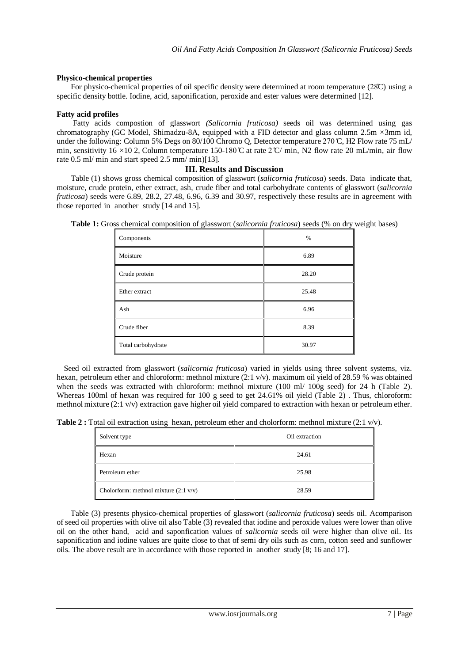#### **Physico-chemical properties**

For physico-chemical properties of oil specific density were determined at room temperature (28C) using a specific density bottle. Iodine, acid, saponification, peroxide and ester values were determined [12].

#### **Fatty acid profiles**

Fatty acids compostion of glasswort *(Salicornia fruticosa)* seeds oil was determined using gas chromatography (GC Model, Shimadzu-8A, equipped with a FID detector and glass column 2.5m ×3mm id, under the following: Column 5% Degs on 80/100 Chromo O, Detector temperature 270 °C, H2 Flow rate 75 mL/ min, sensitivity 16 ×10 2, Column temperature 150-180 °C at rate 2 °C/ min, N2 flow rate 20 mL/min, air flow rate 0.5 ml/ min and start speed 2.5 mm/ min)[13].

## **III. Results and Discussion**

Table (1) shows gross chemical composition of glasswort (*salicornia fruticosa*) seeds. Data indicate that, moisture, crude protein, ether extract, ash, crude fiber and total carbohydrate contents of glasswort (*salicornia fruticosa*) seeds were 6.89, 28.2, 27.48, 6.96, 6.39 and 30.97, respectively these results are in agreement with those reported in another study [14 and 15].

| Components         | $\%$  |
|--------------------|-------|
| Moisture           | 6.89  |
| Crude protein      | 28.20 |
| Ether extract      | 25.48 |
| Ash                | 6.96  |
| Crude fiber        | 8.39  |
| Total carbohydrate | 30.97 |

**Table 1:** Gross chemical composition of glasswort (*salicornia fruticosa*) seeds (% on dry weight bases)

Seed oil extracted from glasswort (*salicornia fruticosa*) varied in yields using three solvent systems, viz. hexan, petroleum ether and chloroform: methnol mixture (2:1 v/v). maximum oil yield of 28.59 % was obtained when the seeds was extracted with chloroform: methnol mixture (100 ml/ 100g seed) for 24 h (Table 2). Whereas 100ml of hexan was required for 100 g seed to get 24.61% oil yield (Table 2). Thus, chloroform: methnol mixture (2:1 v/v) extraction gave higher oil yield compared to extraction with hexan or petroleum ether.

**Table 2 :** Total oil extraction using hexan, petroleum ether and cholorform: methnol mixture (2:1 v/v).

| Solvent type                                    | Oil extraction |
|-------------------------------------------------|----------------|
| Hexan                                           | 24.61          |
| Petroleum ether                                 | 25.98          |
| Cholorform: methnol mixture $(2:1 \text{ v/v})$ | 28.59          |

Table (3) presents physico-chemical properties of glasswort (*salicornia fruticosa*) seeds oil. Acomparison of seed oil properties with olive oil also Table (3) revealed that iodine and peroxide values were lower than olive oil on the other hand, acid and saponfication values of *salicornia* seeds oil were higher than olive oil. Its saponification and iodine values are quite close to that of semi dry oils such as corn, cotton seed and sunflower oils. The above result are in accordance with those reported in another study [8; 16 and 17].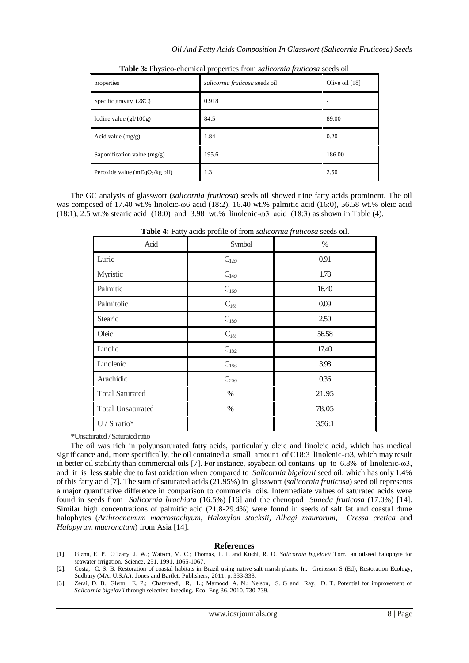| properties                         | salicornia fruticosa seeds oil | Olive oil $[18]$ |
|------------------------------------|--------------------------------|------------------|
| Specific gravity (28C)             | 0.918                          |                  |
| Iodine value $(gI/100g)$           | 84.5                           | 89.00            |
| Acid value $(mg/g)$                | 1.84                           | 0.20             |
| Saponification value $(mg/g)$      | 195.6                          | 186.00           |
| Peroxide value (mEqO $_2$ /kg oil) | 1.3                            | 2.50             |

**Table 3:** Physico-chemical properties from *salicornia fruticosa* seeds oil

The GC analysis of glasswort (*salicornia fruticosa*) seeds oil showed nine fatty acids prominent. The oil was composed of 17.40 wt.% linoleic- $\omega$ 6 acid (18:2), 16.40 wt.% palmitic acid (16:0), 56.58 wt.% oleic acid (18:1), 2.5 wt.% stearic acid (18:0) and 3.98 wt.% linolenic-ω3 acid (18:3) as shown in Table (4).

| Acid                     | Symbol    | $\%$   |
|--------------------------|-----------|--------|
| Luric                    | $C_{120}$ | 0.91   |
| Myristic                 | $C_{140}$ | 1.78   |
| Palmitic                 | $C_{160}$ | 16.40  |
| Palmitolic               | $C_{161}$ | 0.09   |
| Stearic                  | $C_{180}$ | 2.50   |
| Oleic                    | $C_{181}$ | 56.58  |
| Linolic                  | $C_{182}$ | 17.40  |
| Linolenic                | $C_{183}$ | 3.98   |
| Arachidic                | $C_{200}$ | 0.36   |
| <b>Total Saturated</b>   | %         | 21.95  |
| <b>Total Unsaturated</b> | %         | 78.05  |
| $U / S$ ratio*           |           | 3.56:1 |

**Table 4:** Fatty acids profile of from *salicornia fruticosa* seeds oil.

\*Unsaturated / Saturated ratio

The oil was rich in polyunsaturated fatty acids, particularly oleic and linoleic acid, which has medical significance and, more specifically, the oil contained a small amount of C18:3 linolenic-ω3, which may result in better oil stability than commercial oils [7]. For instance, soyabean oil contains up to 6.8% of linolenic-ω3, and it is less stable due to fast oxidation when compared to *Salicornia bigelovii* seed oil, which has only 1.4% of this fatty acid [7]. The sum of saturated acids (21.95%) in glasswort (*salicornia fruticosa*) seed oil represents a major quantitative difference in comparison to commercial oils. Intermediate values of saturated acids were found in seeds from *Salicornia brachiata* (16.5%) [16] and the chenopod *Suaeda fruticosa* (17.0%) [14]. Similar high concentrations of palmitic acid (21.8-29.4%) were found in seeds of salt fat and coastal dune halophytes (*Arthrocnemum macrostachyum, Haloxylon stocksii, Alhagi maurorum, Cressa cretica* and *Halopyrum mucronatum*) from Asia [14].

#### **References**

[1]. Glenn, E. P.; O'leary, J. W.; Watson, M. C.; Thomas, T. L and Kuehl, R. O. *Salicornia bigelovii* Torr.: an oilseed halophyte for seawater irrigation. Science, 251, 1991, 1065-1067.

[2]. Costa, C. S. B. Restoration of coastal habitats in Brazil using native salt marsh plants. In: Greipsson S (Ed), Restoration Ecology, Sudbury (MA. U.S.A.): Jones and Bartlett Publishers, 2011, p. 333-338.

[3]. Zerai, D. B.; Glenn, E. P.; Chatervedi, R, L.; Mamood, A. N.; Nelson, S. G and Ray, D. T. Potential for improvement of *Salicornia bigelovii* through selective breeding. Ecol Eng 36, 2010, 730-739.